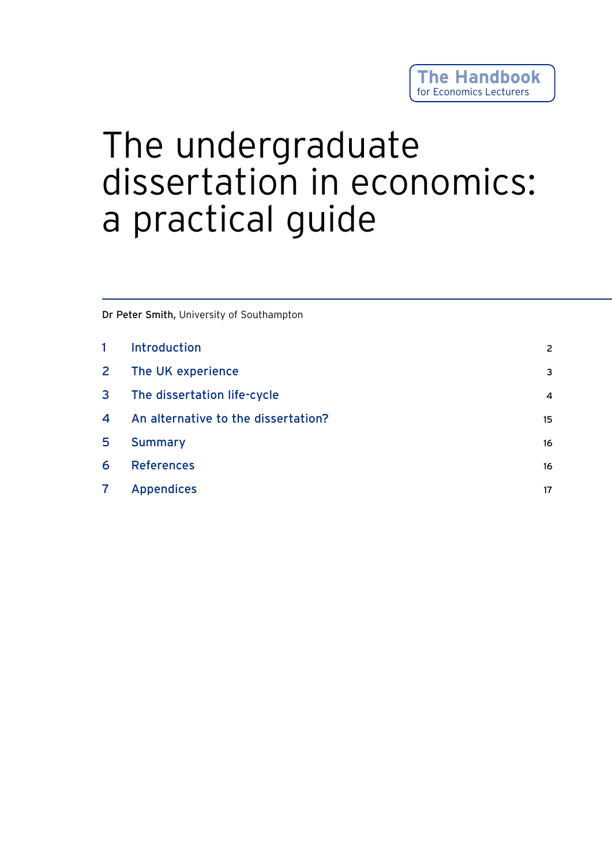# The undergraduate dissertation in economics: a practical guide

Dr Peter Smith, University of Southampton

| $\mathbf{1}$   | <b>Introduction</b>                 | 2              |
|----------------|-------------------------------------|----------------|
| $\mathbf{2}$   | The UK experience                   | 3              |
| $\mathbf{3}$   | The dissertation life-cycle         | $\overline{4}$ |
| $\overline{4}$ | An alternative to the dissertation? | 15             |
| 5              | <b>Summary</b>                      | 16             |
| 6              | <b>References</b>                   | 16             |
| $\mathbf{7}$   | <b>Appendices</b>                   | 17             |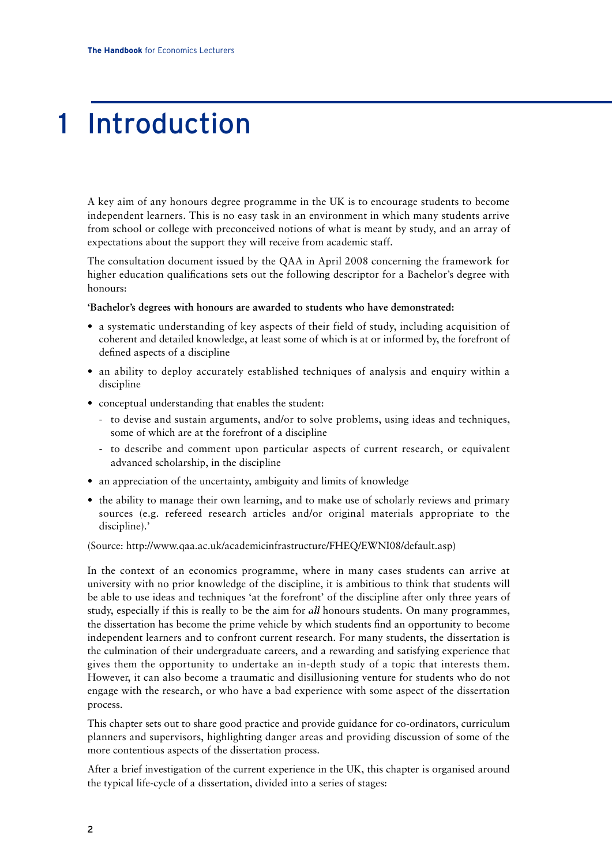## 1 Introduction

A key aim of any honours degree programme in the UK is to encourage students to become independent learners. This is no easy task in an environment in which many students arrive from school or college with preconceived notions of what is meant by study, and an array of expectations about the support they will receive from academic staff.

The consultation document issued by the QAA in April 2008 concerning the framework for higher education qualifications sets out the following descriptor for a Bachelor's degree with honours:

#### **'Bachelor's degrees with honours are awarded to students who have demonstrated:**

- a systematic understanding of key aspects of their field of study, including acquisition of coherent and detailed knowledge, at least some of which is at or informed by, the forefront of defined aspects of a discipline
- an ability to deploy accurately established techniques of analysis and enquiry within a discipline
- conceptual understanding that enables the student:
	- to devise and sustain arguments, and/or to solve problems, using ideas and techniques, some of which are at the forefront of a discipline
	- to describe and comment upon particular aspects of current research, or equivalent advanced scholarship, in the discipline
- an appreciation of the uncertainty, ambiguity and limits of knowledge
- the ability to manage their own learning, and to make use of scholarly reviews and primary sources (e.g. refereed research articles and/or original materials appropriate to the discipline).'

#### (Source: http://www.qaa.ac.uk/academicinfrastructure/FHEQ/EWNI08/default.asp)

In the context of an economics programme, where in many cases students can arrive at university with no prior knowledge of the discipline, it is ambitious to think that students will be able to use ideas and techniques 'at the forefront' of the discipline after only three years of study, especially if this is really to be the aim for *all* honours students. On many programmes, the dissertation has become the prime vehicle by which students find an opportunity to become independent learners and to confront current research. For many students, the dissertation is the culmination of their undergraduate careers, and a rewarding and satisfying experience that gives them the opportunity to undertake an in-depth study of a topic that interests them. However, it can also become a traumatic and disillusioning venture for students who do not engage with the research, or who have a bad experience with some aspect of the dissertation process.

This chapter sets out to share good practice and provide guidance for co-ordinators, curriculum planners and supervisors, highlighting danger areas and providing discussion of some of the more contentious aspects of the dissertation process.

After a brief investigation of the current experience in the UK, this chapter is organised around the typical life-cycle of a dissertation, divided into a series of stages: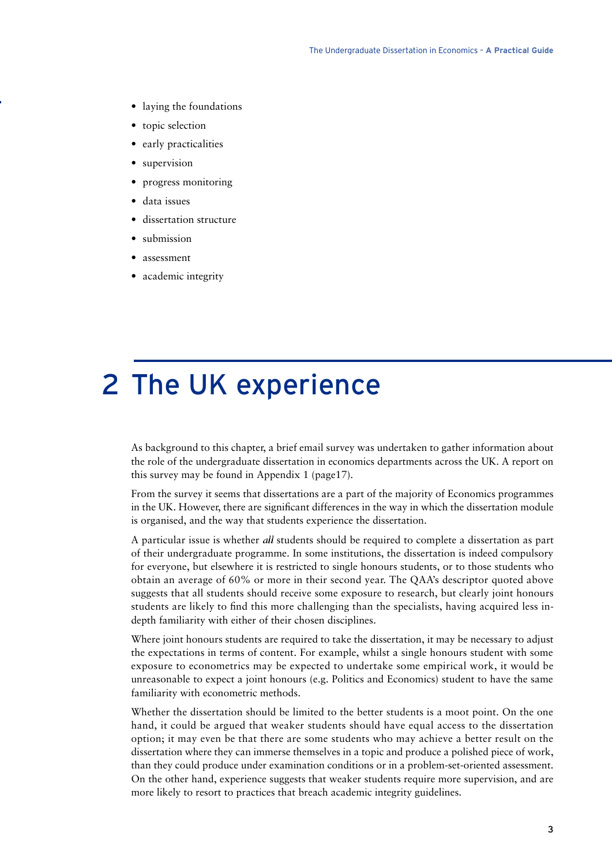- laying the foundations
- topic selection
- early practicalities
- supervision
- progress monitoring
- data issues
- dissertation structure
- submission
- assessment
- academic integrity

## 2 The UK experience

As background to this chapter, a brief email survey was undertaken to gather information about the role of the undergraduate dissertation in economics departments across the UK. A report on this survey may be found in Appendix 1 (page17).

From the survey it seems that dissertations are a part of the majority of Economics programmes in the UK. However, there are significant differences in the way in which the dissertation module is organised, and the way that students experience the dissertation.

A particular issue is whether all students should be required to complete a dissertation as part of their undergraduate programme. In some institutions, the dissertation is indeed compulsory for everyone, but elsewhere it is restricted to single honours students, or to those students who obtain an average of 60% or more in their second year. The QAA's descriptor quoted above suggests that all students should receive some exposure to research, but clearly joint honours students are likely to find this more challenging than the specialists, having acquired less indepth familiarity with either of their chosen disciplines.

Where joint honours students are required to take the dissertation, it may be necessary to adjust the expectations in terms of content. For example, whilst a single honours student with some exposure to econometrics may be expected to undertake some empirical work, it would be unreasonable to expect a joint honours (e.g. Politics and Economics) student to have the same familiarity with econometric methods.

Whether the dissertation should be limited to the better students is a moot point. On the one hand, it could be argued that weaker students should have equal access to the dissertation option; it may even be that there are some students who may achieve a better result on the dissertation where they can immerse themselves in a topic and produce a polished piece of work, than they could produce under examination conditions or in a problem-set-oriented assessment. On the other hand, experience suggests that weaker students require more supervision, and are more likely to resort to practices that breach academic integrity guidelines.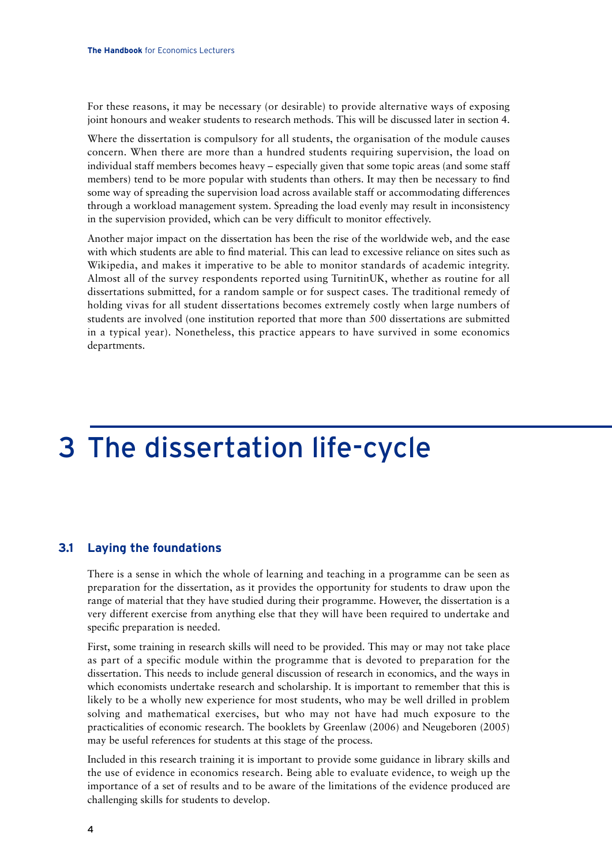For these reasons, it may be necessary (or desirable) to provide alternative ways of exposing joint honours and weaker students to research methods. This will be discussed later in section 4.

Where the dissertation is compulsory for all students, the organisation of the module causes concern. When there are more than a hundred students requiring supervision, the load on individual staff members becomes heavy – especially given that some topic areas (and some staff members) tend to be more popular with students than others. It may then be necessary to find some way of spreading the supervision load across available staff or accommodating differences through a workload management system. Spreading the load evenly may result in inconsistency in the supervision provided, which can be very difficult to monitor effectively.

Another major impact on the dissertation has been the rise of the worldwide web, and the ease with which students are able to find material. This can lead to excessive reliance on sites such as Wikipedia, and makes it imperative to be able to monitor standards of academic integrity. Almost all of the survey respondents reported using TurnitinUK, whether as routine for all dissertations submitted, for a random sample or for suspect cases. The traditional remedy of holding vivas for all student dissertations becomes extremely costly when large numbers of students are involved (one institution reported that more than 500 dissertations are submitted in a typical year). Nonetheless, this practice appears to have survived in some economics departments.

## 3 The dissertation life-cycle

## **3.1 Laying the foundations**

There is a sense in which the whole of learning and teaching in a programme can be seen as preparation for the dissertation, as it provides the opportunity for students to draw upon the range of material that they have studied during their programme. However, the dissertation is a very different exercise from anything else that they will have been required to undertake and specific preparation is needed.

First, some training in research skills will need to be provided. This may or may not take place as part of a specific module within the programme that is devoted to preparation for the dissertation. This needs to include general discussion of research in economics, and the ways in which economists undertake research and scholarship. It is important to remember that this is likely to be a wholly new experience for most students, who may be well drilled in problem solving and mathematical exercises, but who may not have had much exposure to the practicalities of economic research. The booklets by Greenlaw (2006) and Neugeboren (2005) may be useful references for students at this stage of the process.

Included in this research training it is important to provide some guidance in library skills and the use of evidence in economics research. Being able to evaluate evidence, to weigh up the importance of a set of results and to be aware of the limitations of the evidence produced are challenging skills for students to develop.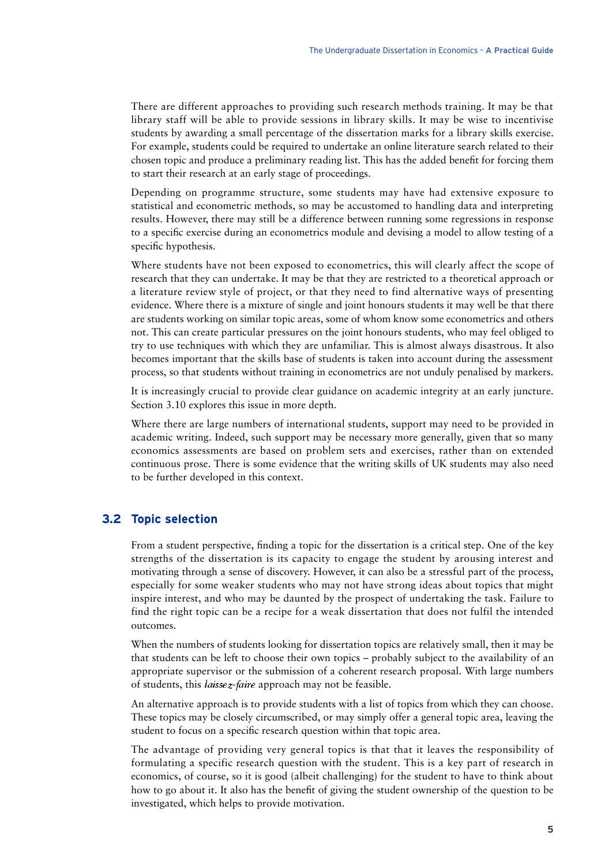There are different approaches to providing such research methods training. It may be that library staff will be able to provide sessions in library skills. It may be wise to incentivise students by awarding a small percentage of the dissertation marks for a library skills exercise. For example, students could be required to undertake an online literature search related to their chosen topic and produce a preliminary reading list. This has the added benefit for forcing them to start their research at an early stage of proceedings.

Depending on programme structure, some students may have had extensive exposure to statistical and econometric methods, so may be accustomed to handling data and interpreting results. However, there may still be a difference between running some regressions in response to a specific exercise during an econometrics module and devising a model to allow testing of a specific hypothesis.

Where students have not been exposed to econometrics, this will clearly affect the scope of research that they can undertake. It may be that they are restricted to a theoretical approach or a literature review style of project, or that they need to find alternative ways of presenting evidence. Where there is a mixture of single and joint honours students it may well be that there are students working on similar topic areas, some of whom know some econometrics and others not. This can create particular pressures on the joint honours students, who may feel obliged to try to use techniques with which they are unfamiliar. This is almost always disastrous. It also becomes important that the skills base of students is taken into account during the assessment process, so that students without training in econometrics are not unduly penalised by markers.

It is increasingly crucial to provide clear guidance on academic integrity at an early juncture. Section 3.10 explores this issue in more depth.

Where there are large numbers of international students, support may need to be provided in academic writing. Indeed, such support may be necessary more generally, given that so many economics assessments are based on problem sets and exercises, rather than on extended continuous prose. There is some evidence that the writing skills of UK students may also need to be further developed in this context.

### **3.2 Topic selection**

From a student perspective, finding a topic for the dissertation is a critical step. One of the key strengths of the dissertation is its capacity to engage the student by arousing interest and motivating through a sense of discovery. However, it can also be a stressful part of the process, especially for some weaker students who may not have strong ideas about topics that might inspire interest, and who may be daunted by the prospect of undertaking the task. Failure to find the right topic can be a recipe for a weak dissertation that does not fulfil the intended outcomes.

When the numbers of students looking for dissertation topics are relatively small, then it may be that students can be left to choose their own topics – probably subject to the availability of an appropriate supervisor or the submission of a coherent research proposal. With large numbers of students, this laissez-faire approach may not be feasible.

An alternative approach is to provide students with a list of topics from which they can choose. These topics may be closely circumscribed, or may simply offer a general topic area, leaving the student to focus on a specific research question within that topic area.

The advantage of providing very general topics is that that it leaves the responsibility of formulating a specific research question with the student. This is a key part of research in economics, of course, so it is good (albeit challenging) for the student to have to think about how to go about it. It also has the benefit of giving the student ownership of the question to be investigated, which helps to provide motivation.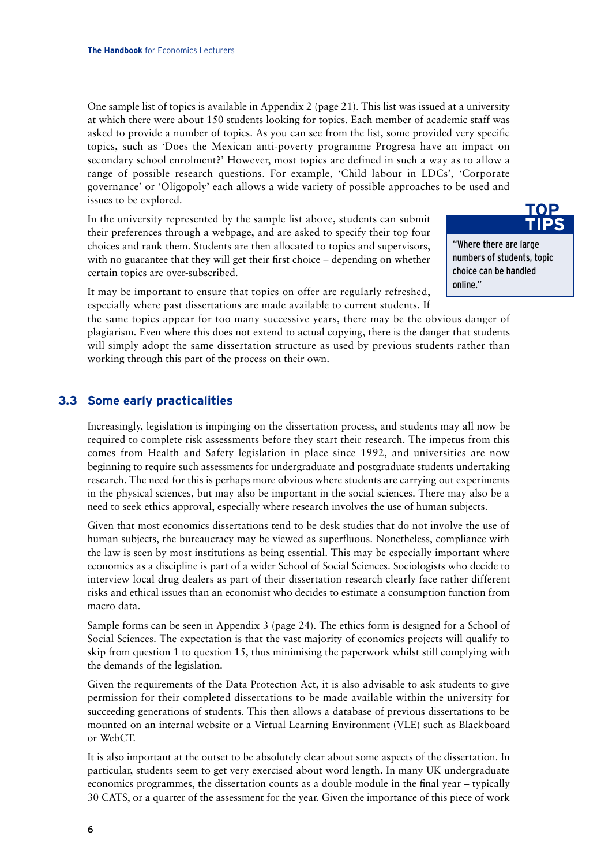One sample list of topics is available in Appendix 2 (page 21). This list was issued at a university at which there were about 150 students looking for topics. Each member of academic staff was asked to provide a number of topics. As you can see from the list, some provided very specific topics, such as 'Does the Mexican anti-poverty programme Progresa have an impact on secondary school enrolment?' However, most topics are defined in such a way as to allow a range of possible research questions. For example, 'Child labour in LDCs', 'Corporate governance' or 'Oligopoly' each allows a wide variety of possible approaches to be used and issues to be explored.

In the university represented by the sample list above, students can submit their preferences through a webpage, and are asked to specify their top four choices and rank them. Students are then allocated to topics and supervisors, with no guarantee that they will get their first choice – depending on whether certain topics are over-subscribed.

"Where there are large numbers of students, topic choice can be handled online." **TIPS**

**TOP**

It may be important to ensure that topics on offer are regularly refreshed, especially where past dissertations are made available to current students. If

the same topics appear for too many successive years, there may be the obvious danger of plagiarism. Even where this does not extend to actual copying, there is the danger that students will simply adopt the same dissertation structure as used by previous students rather than working through this part of the process on their own.

### **3.3 Some early practicalities**

Increasingly, legislation is impinging on the dissertation process, and students may all now be required to complete risk assessments before they start their research. The impetus from this comes from Health and Safety legislation in place since 1992, and universities are now beginning to require such assessments for undergraduate and postgraduate students undertaking research. The need for this is perhaps more obvious where students are carrying out experiments in the physical sciences, but may also be important in the social sciences. There may also be a need to seek ethics approval, especially where research involves the use of human subjects.

Given that most economics dissertations tend to be desk studies that do not involve the use of human subjects, the bureaucracy may be viewed as superfluous. Nonetheless, compliance with the law is seen by most institutions as being essential. This may be especially important where economics as a discipline is part of a wider School of Social Sciences. Sociologists who decide to interview local drug dealers as part of their dissertation research clearly face rather different risks and ethical issues than an economist who decides to estimate a consumption function from macro data.

Sample forms can be seen in Appendix 3 (page 24). The ethics form is designed for a School of Social Sciences. The expectation is that the vast majority of economics projects will qualify to skip from question 1 to question 15, thus minimising the paperwork whilst still complying with the demands of the legislation.

Given the requirements of the Data Protection Act, it is also advisable to ask students to give permission for their completed dissertations to be made available within the university for succeeding generations of students. This then allows a database of previous dissertations to be mounted on an internal website or a Virtual Learning Environment (VLE) such as Blackboard or WebCT.

It is also important at the outset to be absolutely clear about some aspects of the dissertation. In particular, students seem to get very exercised about word length. In many UK undergraduate economics programmes, the dissertation counts as a double module in the final year – typically 30 CATS, or a quarter of the assessment for the year. Given the importance of this piece of work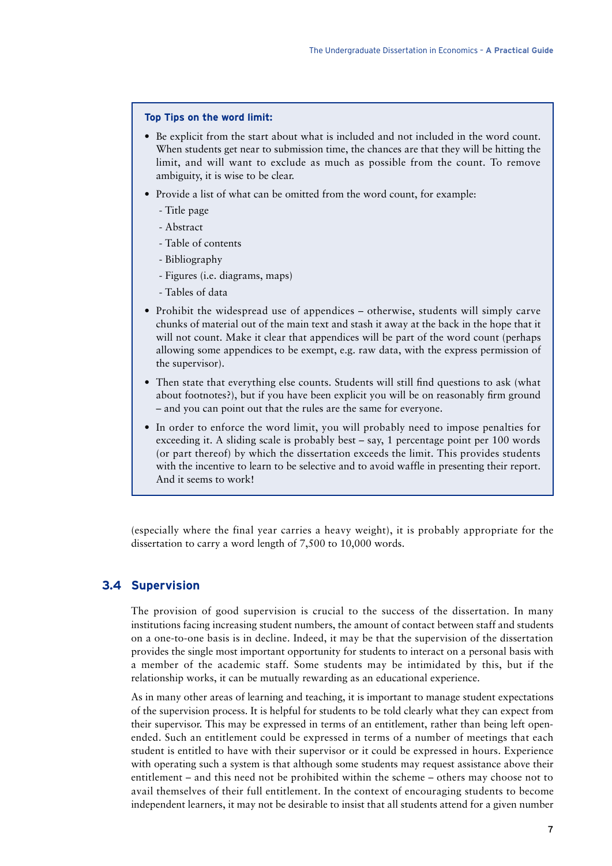#### **Top Tips on the word limit:**

- Be explicit from the start about what is included and not included in the word count. When students get near to submission time, the chances are that they will be hitting the limit, and will want to exclude as much as possible from the count. To remove ambiguity, it is wise to be clear.
- Provide a list of what can be omitted from the word count, for example:
	- Title page
	- Abstract
	- Table of contents
	- Bibliography
	- Figures (i.e. diagrams, maps)
	- Tables of data
- Prohibit the widespread use of appendices otherwise, students will simply carve chunks of material out of the main text and stash it away at the back in the hope that it will not count. Make it clear that appendices will be part of the word count (perhaps allowing some appendices to be exempt, e.g. raw data, with the express permission of the supervisor).
- Then state that everything else counts. Students will still find questions to ask (what about footnotes?), but if you have been explicit you will be on reasonably firm ground – and you can point out that the rules are the same for everyone.
- In order to enforce the word limit, you will probably need to impose penalties for exceeding it. A sliding scale is probably best – say, 1 percentage point per 100 words (or part thereof) by which the dissertation exceeds the limit. This provides students with the incentive to learn to be selective and to avoid waffle in presenting their report. And it seems to work!

(especially where the final year carries a heavy weight), it is probably appropriate for the dissertation to carry a word length of 7,500 to 10,000 words.

#### **3.4 Supervision**

The provision of good supervision is crucial to the success of the dissertation. In many institutions facing increasing student numbers, the amount of contact between staff and students on a one-to-one basis is in decline. Indeed, it may be that the supervision of the dissertation provides the single most important opportunity for students to interact on a personal basis with a member of the academic staff. Some students may be intimidated by this, but if the relationship works, it can be mutually rewarding as an educational experience.

As in many other areas of learning and teaching, it is important to manage student expectations of the supervision process. It is helpful for students to be told clearly what they can expect from their supervisor. This may be expressed in terms of an entitlement, rather than being left openended. Such an entitlement could be expressed in terms of a number of meetings that each student is entitled to have with their supervisor or it could be expressed in hours. Experience with operating such a system is that although some students may request assistance above their entitlement – and this need not be prohibited within the scheme – others may choose not to avail themselves of their full entitlement. In the context of encouraging students to become independent learners, it may not be desirable to insist that all students attend for a given number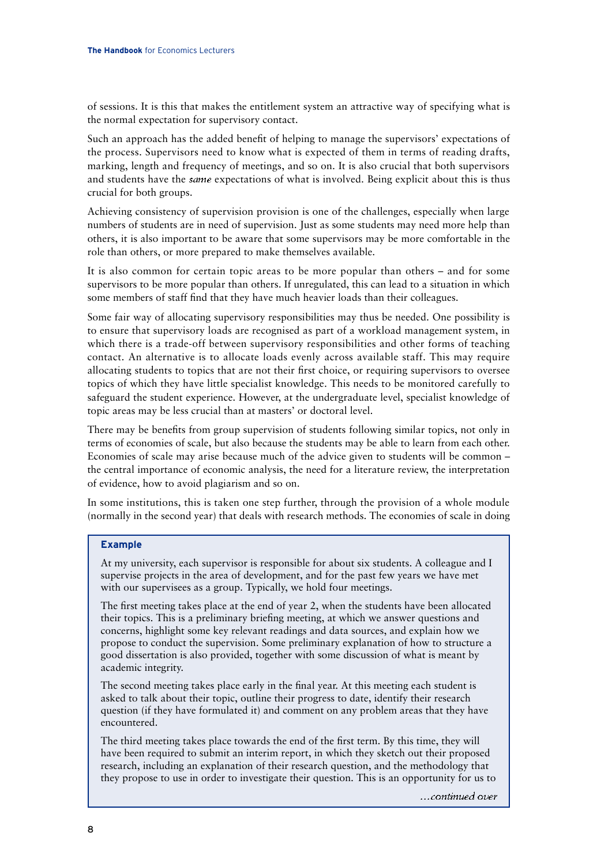of sessions. It is this that makes the entitlement system an attractive way of specifying what is the normal expectation for supervisory contact.

Such an approach has the added benefit of helping to manage the supervisors' expectations of the process. Supervisors need to know what is expected of them in terms of reading drafts, marking, length and frequency of meetings, and so on. It is also crucial that both supervisors and students have the *same* expectations of what is involved. Being explicit about this is thus crucial for both groups.

Achieving consistency of supervision provision is one of the challenges, especially when large numbers of students are in need of supervision. Just as some students may need more help than others, it is also important to be aware that some supervisors may be more comfortable in the role than others, or more prepared to make themselves available.

It is also common for certain topic areas to be more popular than others – and for some supervisors to be more popular than others. If unregulated, this can lead to a situation in which some members of staff find that they have much heavier loads than their colleagues.

Some fair way of allocating supervisory responsibilities may thus be needed. One possibility is to ensure that supervisory loads are recognised as part of a workload management system, in which there is a trade-off between supervisory responsibilities and other forms of teaching contact. An alternative is to allocate loads evenly across available staff. This may require allocating students to topics that are not their first choice, or requiring supervisors to oversee topics of which they have little specialist knowledge. This needs to be monitored carefully to safeguard the student experience. However, at the undergraduate level, specialist knowledge of topic areas may be less crucial than at masters' or doctoral level.

There may be benefits from group supervision of students following similar topics, not only in terms of economies of scale, but also because the students may be able to learn from each other. Economies of scale may arise because much of the advice given to students will be common – the central importance of economic analysis, the need for a literature review, the interpretation of evidence, how to avoid plagiarism and so on.

In some institutions, this is taken one step further, through the provision of a whole module (normally in the second year) that deals with research methods. The economies of scale in doing

#### **Example**

At my university, each supervisor is responsible for about six students. A colleague and I supervise projects in the area of development, and for the past few years we have met with our supervisees as a group. Typically, we hold four meetings.

The first meeting takes place at the end of year 2, when the students have been allocated their topics. This is a preliminary briefing meeting, at which we answer questions and concerns, highlight some key relevant readings and data sources, and explain how we propose to conduct the supervision. Some preliminary explanation of how to structure a good dissertation is also provided, together with some discussion of what is meant by academic integrity.

The second meeting takes place early in the final year. At this meeting each student is asked to talk about their topic, outline their progress to date, identify their research question (if they have formulated it) and comment on any problem areas that they have encountered.

The third meeting takes place towards the end of the first term. By this time, they will have been required to submit an interim report, in which they sketch out their proposed research, including an explanation of their research question, and the methodology that they propose to use in order to investigate their question. This is an opportunity for us to

...continued over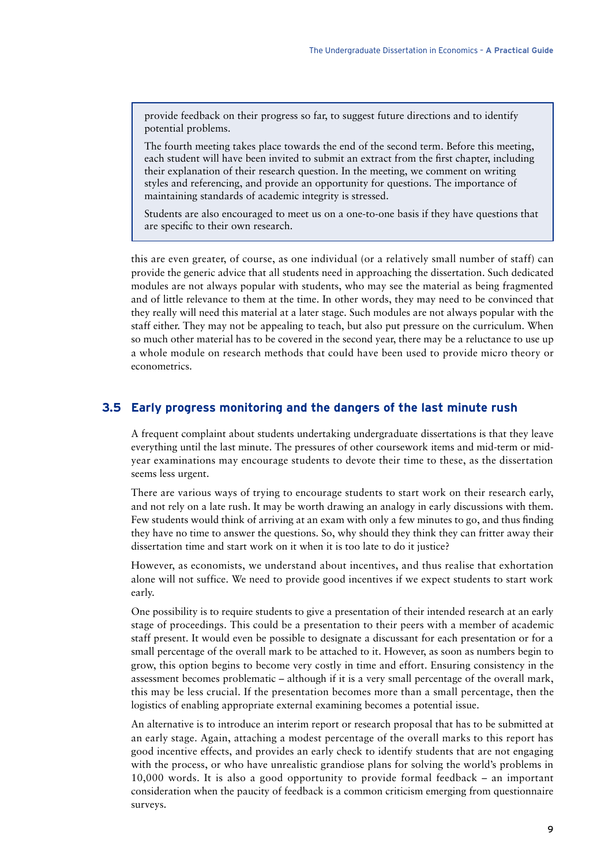provide feedback on their progress so far, to suggest future directions and to identify potential problems.

The fourth meeting takes place towards the end of the second term. Before this meeting, each student will have been invited to submit an extract from the first chapter, including their explanation of their research question. In the meeting, we comment on writing styles and referencing, and provide an opportunity for questions. The importance of maintaining standards of academic integrity is stressed.

Students are also encouraged to meet us on a one-to-one basis if they have questions that are specific to their own research.

this are even greater, of course, as one individual (or a relatively small number of staff) can provide the generic advice that all students need in approaching the dissertation. Such dedicated modules are not always popular with students, who may see the material as being fragmented and of little relevance to them at the time. In other words, they may need to be convinced that they really will need this material at a later stage. Such modules are not always popular with the staff either. They may not be appealing to teach, but also put pressure on the curriculum. When so much other material has to be covered in the second year, there may be a reluctance to use up a whole module on research methods that could have been used to provide micro theory or econometrics.

### **3.5 Early progress monitoring and the dangers of the last minute rush**

A frequent complaint about students undertaking undergraduate dissertations is that they leave everything until the last minute. The pressures of other coursework items and mid-term or midyear examinations may encourage students to devote their time to these, as the dissertation seems less urgent.

There are various ways of trying to encourage students to start work on their research early, and not rely on a late rush. It may be worth drawing an analogy in early discussions with them. Few students would think of arriving at an exam with only a few minutes to go, and thus finding they have no time to answer the questions. So, why should they think they can fritter away their dissertation time and start work on it when it is too late to do it justice?

However, as economists, we understand about incentives, and thus realise that exhortation alone will not suffice. We need to provide good incentives if we expect students to start work early.

One possibility is to require students to give a presentation of their intended research at an early stage of proceedings. This could be a presentation to their peers with a member of academic staff present. It would even be possible to designate a discussant for each presentation or for a small percentage of the overall mark to be attached to it. However, as soon as numbers begin to grow, this option begins to become very costly in time and effort. Ensuring consistency in the assessment becomes problematic – although if it is a very small percentage of the overall mark, this may be less crucial. If the presentation becomes more than a small percentage, then the logistics of enabling appropriate external examining becomes a potential issue.

An alternative is to introduce an interim report or research proposal that has to be submitted at an early stage. Again, attaching a modest percentage of the overall marks to this report has good incentive effects, and provides an early check to identify students that are not engaging with the process, or who have unrealistic grandiose plans for solving the world's problems in 10,000 words. It is also a good opportunity to provide formal feedback – an important consideration when the paucity of feedback is a common criticism emerging from questionnaire surveys.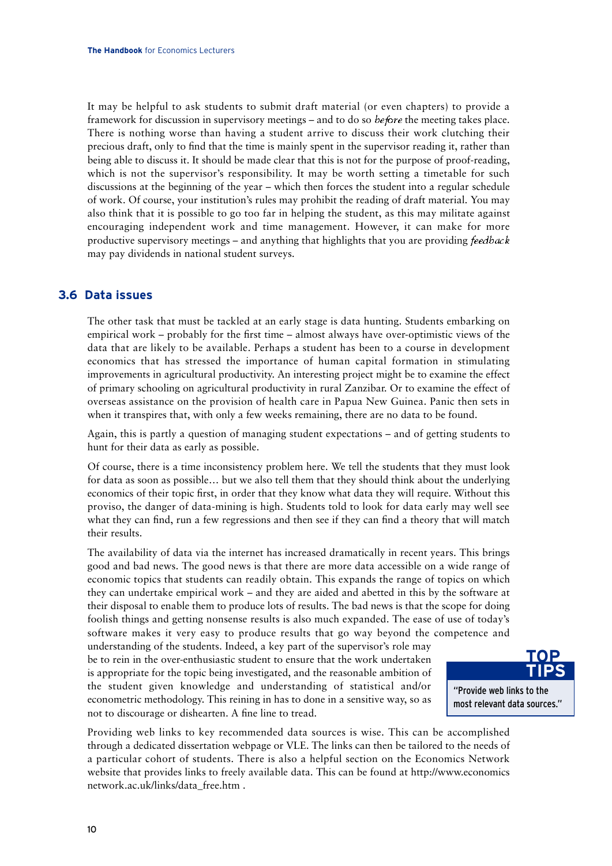It may be helpful to ask students to submit draft material (or even chapters) to provide a framework for discussion in supervisory meetings – and to do so *before* the meeting takes place. There is nothing worse than having a student arrive to discuss their work clutching their precious draft, only to find that the time is mainly spent in the supervisor reading it, rather than being able to discuss it. It should be made clear that this is not for the purpose of proof-reading, which is not the supervisor's responsibility. It may be worth setting a timetable for such discussions at the beginning of the year – which then forces the student into a regular schedule of work. Of course, your institution's rules may prohibit the reading of draft material. You may also think that it is possible to go too far in helping the student, as this may militate against encouraging independent work and time management. However, it can make for more productive supervisory meetings – and anything that highlights that you are providing feedback may pay dividends in national student surveys.

## **3.6 Data issues**

The other task that must be tackled at an early stage is data hunting. Students embarking on empirical work – probably for the first time – almost always have over-optimistic views of the data that are likely to be available. Perhaps a student has been to a course in development economics that has stressed the importance of human capital formation in stimulating improvements in agricultural productivity. An interesting project might be to examine the effect of primary schooling on agricultural productivity in rural Zanzibar. Or to examine the effect of overseas assistance on the provision of health care in Papua New Guinea. Panic then sets in when it transpires that, with only a few weeks remaining, there are no data to be found.

Again, this is partly a question of managing student expectations – and of getting students to hunt for their data as early as possible.

Of course, there is a time inconsistency problem here. We tell the students that they must look for data as soon as possible… but we also tell them that they should think about the underlying economics of their topic first, in order that they know what data they will require. Without this proviso, the danger of data-mining is high. Students told to look for data early may well see what they can find, run a few regressions and then see if they can find a theory that will match their results.

The availability of data via the internet has increased dramatically in recent years. This brings good and bad news. The good news is that there are more data accessible on a wide range of economic topics that students can readily obtain. This expands the range of topics on which they can undertake empirical work – and they are aided and abetted in this by the software at their disposal to enable them to produce lots of results. The bad news is that the scope for doing foolish things and getting nonsense results is also much expanded. The ease of use of today's software makes it very easy to produce results that go way beyond the competence and

understanding of the students. Indeed, a key part of the supervisor's role may be to rein in the over-enthusiastic student to ensure that the work undertaken is appropriate for the topic being investigated, and the reasonable ambition of the student given knowledge and understanding of statistical and/or econometric methodology. This reining in has to done in a sensitive way, so as not to discourage or dishearten. A fine line to tread.



Providing web links to key recommended data sources is wise. This can be accomplished through a dedicated dissertation webpage or VLE. The links can then be tailored to the needs of a particular cohort of students. There is also a helpful section on the Economics Network website that provides links to freely available data. This can be found at http://www.economics network.ac.uk/links/data\_free.htm .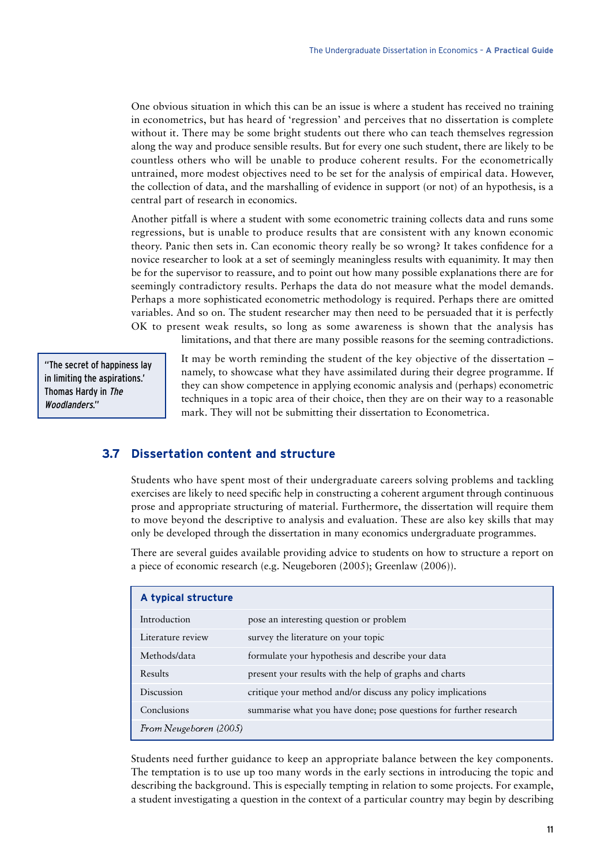One obvious situation in which this can be an issue is where a student has received no training in econometrics, but has heard of 'regression' and perceives that no dissertation is complete without it. There may be some bright students out there who can teach themselves regression along the way and produce sensible results. But for every one such student, there are likely to be countless others who will be unable to produce coherent results. For the econometrically untrained, more modest objectives need to be set for the analysis of empirical data. However, the collection of data, and the marshalling of evidence in support (or not) of an hypothesis, is a central part of research in economics.

Another pitfall is where a student with some econometric training collects data and runs some regressions, but is unable to produce results that are consistent with any known economic theory. Panic then sets in. Can economic theory really be so wrong? It takes confidence for a novice researcher to look at a set of seemingly meaningless results with equanimity. It may then be for the supervisor to reassure, and to point out how many possible explanations there are for seemingly contradictory results. Perhaps the data do not measure what the model demands. Perhaps a more sophisticated econometric methodology is required. Perhaps there are omitted variables. And so on. The student researcher may then need to be persuaded that it is perfectly OK to present weak results, so long as some awareness is shown that the analysis has limitations, and that there are many possible reasons for the seeming contradictions.

"The secret of happiness lay in limiting the aspirations.' Thomas Hardy in The Woodlanders."

It may be worth reminding the student of the key objective of the dissertation – namely, to showcase what they have assimilated during their degree programme. If they can show competence in applying economic analysis and (perhaps) econometric techniques in a topic area of their choice, then they are on their way to a reasonable mark. They will not be submitting their dissertation to Econometrica.

## **3.7 Dissertation content and structure**

Students who have spent most of their undergraduate careers solving problems and tackling exercises are likely to need specific help in constructing a coherent argument through continuous prose and appropriate structuring of material. Furthermore, the dissertation will require them to move beyond the descriptive to analysis and evaluation. These are also key skills that may only be developed through the dissertation in many economics undergraduate programmes.

There are several guides available providing advice to students on how to structure a report on a piece of economic research (e.g. Neugeboren (2005); Greenlaw (2006)).

| A typical structure    |                                                                   |
|------------------------|-------------------------------------------------------------------|
| Introduction           | pose an interesting question or problem                           |
| Literature review      | survey the literature on your topic                               |
| Methods/data           | formulate your hypothesis and describe your data                  |
| Results                | present your results with the help of graphs and charts           |
| Discussion             | critique your method and/or discuss any policy implications       |
| Conclusions            | summarise what you have done; pose questions for further research |
| From Neugeboren (2005) |                                                                   |

Students need further guidance to keep an appropriate balance between the key components. The temptation is to use up too many words in the early sections in introducing the topic and describing the background. This is especially tempting in relation to some projects. For example, a student investigating a question in the context of a particular country may begin by describing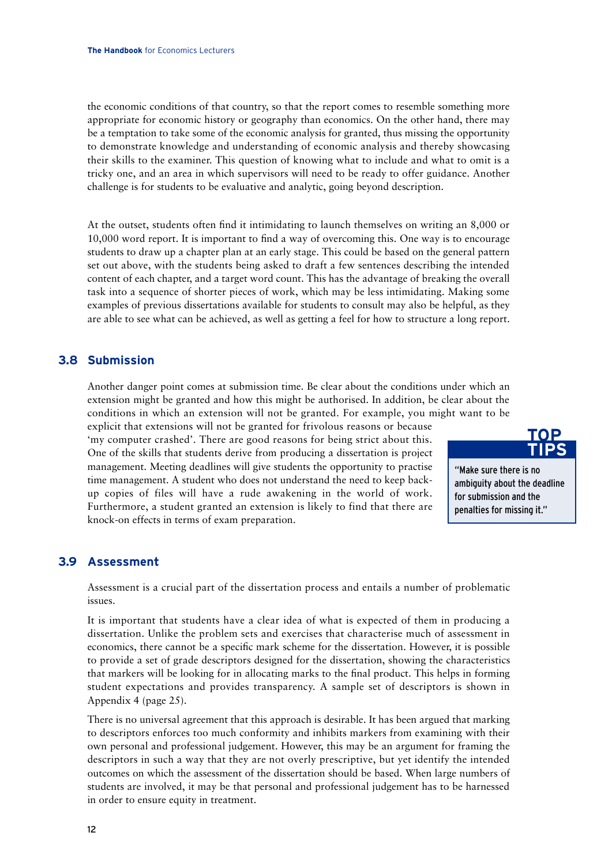the economic conditions of that country, so that the report comes to resemble something more appropriate for economic history or geography than economics. On the other hand, there may be a temptation to take some of the economic analysis for granted, thus missing the opportunity to demonstrate knowledge and understanding of economic analysis and thereby showcasing their skills to the examiner. This question of knowing what to include and what to omit is a tricky one, and an area in which supervisors will need to be ready to offer guidance. Another challenge is for students to be evaluative and analytic, going beyond description.

At the outset, students often find it intimidating to launch themselves on writing an 8,000 or 10,000 word report. It is important to find a way of overcoming this. One way is to encourage students to draw up a chapter plan at an early stage. This could be based on the general pattern set out above, with the students being asked to draft a few sentences describing the intended content of each chapter, and a target word count. This has the advantage of breaking the overall task into a sequence of shorter pieces of work, which may be less intimidating. Making some examples of previous dissertations available for students to consult may also be helpful, as they are able to see what can be achieved, as well as getting a feel for how to structure a long report.

## **3.8 Submission**

Another danger point comes at submission time. Be clear about the conditions under which an extension might be granted and how this might be authorised. In addition, be clear about the conditions in which an extension will not be granted. For example, you might want to be

explicit that extensions will not be granted for frivolous reasons or because 'my computer crashed'. There are good reasons for being strict about this. One of the skills that students derive from producing a dissertation is project management. Meeting deadlines will give students the opportunity to practise time management. A student who does not understand the need to keep backup copies of files will have a rude awakening in the world of work. Furthermore, a student granted an extension is likely to find that there are knock-on effects in terms of exam preparation.



"Make sure there is no ambiguity about the deadline for submission and the penalties for missing it."

## **3.9 Assessment**

Assessment is a crucial part of the dissertation process and entails a number of problematic issues.

It is important that students have a clear idea of what is expected of them in producing a dissertation. Unlike the problem sets and exercises that characterise much of assessment in economics, there cannot be a specific mark scheme for the dissertation. However, it is possible to provide a set of grade descriptors designed for the dissertation, showing the characteristics that markers will be looking for in allocating marks to the final product. This helps in forming student expectations and provides transparency. A sample set of descriptors is shown in Appendix 4 (page 25).

There is no universal agreement that this approach is desirable. It has been argued that marking to descriptors enforces too much conformity and inhibits markers from examining with their own personal and professional judgement. However, this may be an argument for framing the descriptors in such a way that they are not overly prescriptive, but yet identify the intended outcomes on which the assessment of the dissertation should be based. When large numbers of students are involved, it may be that personal and professional judgement has to be harnessed in order to ensure equity in treatment.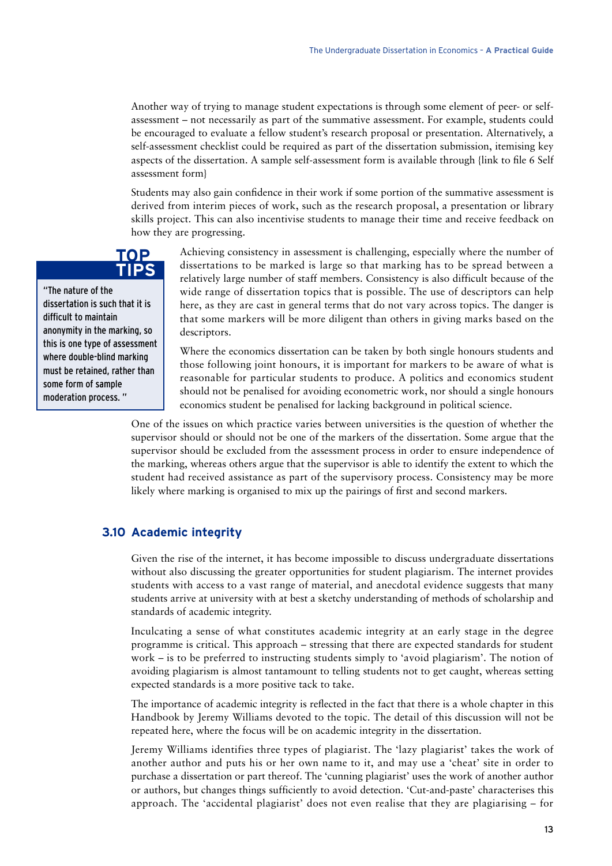Another way of trying to manage student expectations is through some element of peer- or selfassessment – not necessarily as part of the summative assessment. For example, students could be encouraged to evaluate a fellow student's research proposal or presentation. Alternatively, a self-assessment checklist could be required as part of the dissertation submission, itemising key aspects of the dissertation. A sample self-assessment form is available through {link to file 6 Self assessment form}

Students may also gain confidence in their work if some portion of the summative assessment is derived from interim pieces of work, such as the research proposal, a presentation or library skills project. This can also incentivise students to manage their time and receive feedback on how they are progressing.

### Achieving consistency in assessment is challenging, especially where the number of dissertations to be marked is large so that marking has to be spread between a relatively large number of staff members. Consistency is also difficult because of the wide range of dissertation topics that is possible. The use of descriptors can help here, as they are cast in general terms that do not vary across topics. The danger is that some markers will be more diligent than others in giving marks based on the descriptors.

Where the economics dissertation can be taken by both single honours students and those following joint honours, it is important for markers to be aware of what is reasonable for particular students to produce. A politics and economics student should not be penalised for avoiding econometric work, nor should a single honours economics student be penalised for lacking background in political science.

One of the issues on which practice varies between universities is the question of whether the supervisor should or should not be one of the markers of the dissertation. Some argue that the supervisor should be excluded from the assessment process in order to ensure independence of the marking, whereas others argue that the supervisor is able to identify the extent to which the student had received assistance as part of the supervisory process. Consistency may be more likely where marking is organised to mix up the pairings of first and second markers.

## **3.10 Academic integrity**

Given the rise of the internet, it has become impossible to discuss undergraduate dissertations without also discussing the greater opportunities for student plagiarism. The internet provides students with access to a vast range of material, and anecdotal evidence suggests that many students arrive at university with at best a sketchy understanding of methods of scholarship and standards of academic integrity.

Inculcating a sense of what constitutes academic integrity at an early stage in the degree programme is critical. This approach – stressing that there are expected standards for student work – is to be preferred to instructing students simply to 'avoid plagiarism'. The notion of avoiding plagiarism is almost tantamount to telling students not to get caught, whereas setting expected standards is a more positive tack to take.

The importance of academic integrity is reflected in the fact that there is a whole chapter in this Handbook by Jeremy Williams devoted to the topic. The detail of this discussion will not be repeated here, where the focus will be on academic integrity in the dissertation.

Jeremy Williams identifies three types of plagiarist. The 'lazy plagiarist' takes the work of another author and puts his or her own name to it, and may use a 'cheat' site in order to purchase a dissertation or part thereof. The 'cunning plagiarist' uses the work of another author or authors, but changes things sufficiently to avoid detection. 'Cut-and-paste' characterises this approach. The 'accidental plagiarist' does not even realise that they are plagiarising – for

## **TOP TIPS**

"The nature of the dissertation is such that it is difficult to maintain anonymity in the marking, so this is one type of assessment where double-blind marking must be retained, rather than some form of sample moderation process. "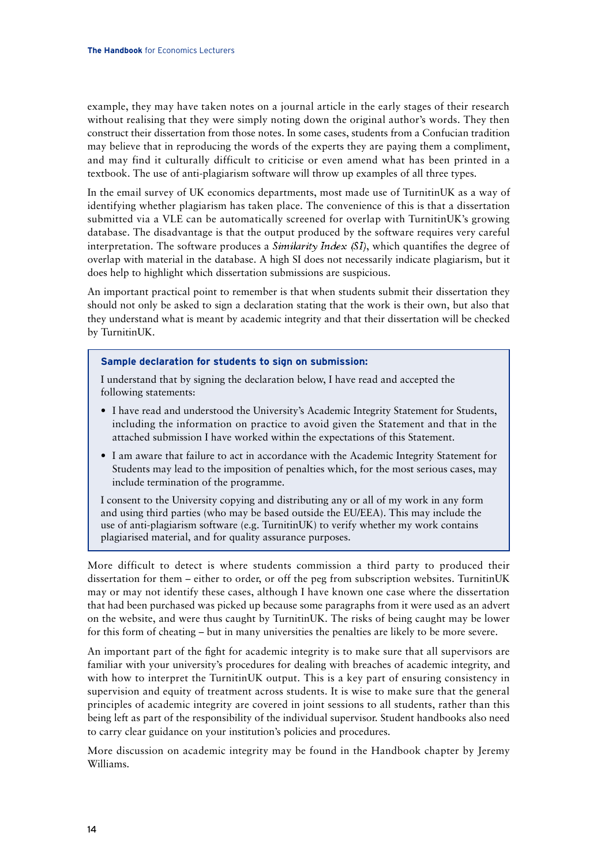example, they may have taken notes on a journal article in the early stages of their research without realising that they were simply noting down the original author's words. They then construct their dissertation from those notes. In some cases, students from a Confucian tradition may believe that in reproducing the words of the experts they are paying them a compliment, and may find it culturally difficult to criticise or even amend what has been printed in a textbook. The use of anti-plagiarism software will throw up examples of all three types.

In the email survey of UK economics departments, most made use of TurnitinUK as a way of identifying whether plagiarism has taken place. The convenience of this is that a dissertation submitted via a VLE can be automatically screened for overlap with TurnitinUK's growing database. The disadvantage is that the output produced by the software requires very careful interpretation. The software produces a *Similarity Index (SI)*, which quantifies the degree of overlap with material in the database. A high SI does not necessarily indicate plagiarism, but it does help to highlight which dissertation submissions are suspicious.

An important practical point to remember is that when students submit their dissertation they should not only be asked to sign a declaration stating that the work is their own, but also that they understand what is meant by academic integrity and that their dissertation will be checked by TurnitinUK.

#### **Sample declaration for students to sign on submission:**

I understand that by signing the declaration below, I have read and accepted the following statements:

- I have read and understood the University's Academic Integrity Statement for Students, including the information on practice to avoid given the Statement and that in the attached submission I have worked within the expectations of this Statement.
- I am aware that failure to act in accordance with the Academic Integrity Statement for Students may lead to the imposition of penalties which, for the most serious cases, may include termination of the programme.

I consent to the University copying and distributing any or all of my work in any form and using third parties (who may be based outside the EU/EEA). This may include the use of anti-plagiarism software (e.g. TurnitinUK) to verify whether my work contains plagiarised material, and for quality assurance purposes.

More difficult to detect is where students commission a third party to produced their dissertation for them – either to order, or off the peg from subscription websites. TurnitinUK may or may not identify these cases, although I have known one case where the dissertation that had been purchased was picked up because some paragraphs from it were used as an advert on the website, and were thus caught by TurnitinUK. The risks of being caught may be lower for this form of cheating – but in many universities the penalties are likely to be more severe.

An important part of the fight for academic integrity is to make sure that all supervisors are familiar with your university's procedures for dealing with breaches of academic integrity, and with how to interpret the TurnitinUK output. This is a key part of ensuring consistency in supervision and equity of treatment across students. It is wise to make sure that the general principles of academic integrity are covered in joint sessions to all students, rather than this being left as part of the responsibility of the individual supervisor. Student handbooks also need to carry clear guidance on your institution's policies and procedures.

More discussion on academic integrity may be found in the Handbook chapter by Jeremy Williams.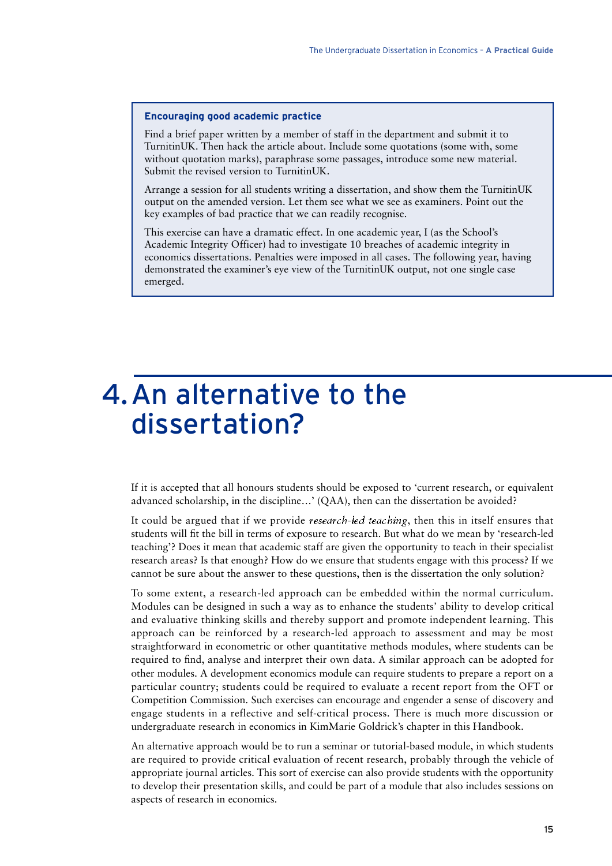#### **Encouraging good academic practice**

Find a brief paper written by a member of staff in the department and submit it to TurnitinUK. Then hack the article about. Include some quotations (some with, some without quotation marks), paraphrase some passages, introduce some new material. Submit the revised version to TurnitinUK.

Arrange a session for all students writing a dissertation, and show them the TurnitinUK output on the amended version. Let them see what we see as examiners. Point out the key examples of bad practice that we can readily recognise.

This exercise can have a dramatic effect. In one academic year, I (as the School's Academic Integrity Officer) had to investigate 10 breaches of academic integrity in economics dissertations. Penalties were imposed in all cases. The following year, having demonstrated the examiner's eye view of the TurnitinUK output, not one single case emerged.

## 4.An alternative to the dissertation?

If it is accepted that all honours students should be exposed to 'current research, or equivalent advanced scholarship, in the discipline…' (QAA), then can the dissertation be avoided?

It could be argued that if we provide research-led teaching, then this in itself ensures that students will fit the bill in terms of exposure to research. But what do we mean by 'research-led teaching'? Does it mean that academic staff are given the opportunity to teach in their specialist research areas? Is that enough? How do we ensure that students engage with this process? If we cannot be sure about the answer to these questions, then is the dissertation the only solution?

To some extent, a research-led approach can be embedded within the normal curriculum. Modules can be designed in such a way as to enhance the students' ability to develop critical and evaluative thinking skills and thereby support and promote independent learning. This approach can be reinforced by a research-led approach to assessment and may be most straightforward in econometric or other quantitative methods modules, where students can be required to find, analyse and interpret their own data. A similar approach can be adopted for other modules. A development economics module can require students to prepare a report on a particular country; students could be required to evaluate a recent report from the OFT or Competition Commission. Such exercises can encourage and engender a sense of discovery and engage students in a reflective and self-critical process. There is much more discussion or undergraduate research in economics in KimMarie Goldrick's chapter in this Handbook.

An alternative approach would be to run a seminar or tutorial-based module, in which students are required to provide critical evaluation of recent research, probably through the vehicle of appropriate journal articles. This sort of exercise can also provide students with the opportunity to develop their presentation skills, and could be part of a module that also includes sessions on aspects of research in economics.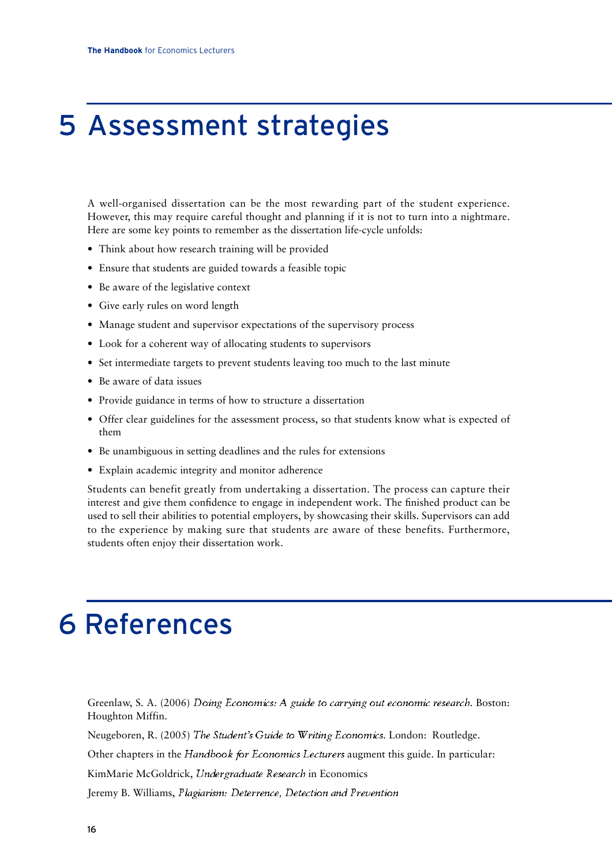## 5 Assessment strategies

A well-organised dissertation can be the most rewarding part of the student experience. However, this may require careful thought and planning if it is not to turn into a nightmare. Here are some key points to remember as the dissertation life-cycle unfolds:

- Think about how research training will be provided
- Ensure that students are guided towards a feasible topic
- Be aware of the legislative context
- Give early rules on word length
- Manage student and supervisor expectations of the supervisory process
- Look for a coherent way of allocating students to supervisors
- Set intermediate targets to prevent students leaving too much to the last minute
- Be aware of data issues
- Provide guidance in terms of how to structure a dissertation
- Offer clear guidelines for the assessment process, so that students know what is expected of them
- Be unambiguous in setting deadlines and the rules for extensions
- Explain academic integrity and monitor adherence

Students can benefit greatly from undertaking a dissertation. The process can capture their interest and give them confidence to engage in independent work. The finished product can be used to sell their abilities to potential employers, by showcasing their skills. Supervisors can add to the experience by making sure that students are aware of these benefits. Furthermore, students often enjoy their dissertation work.

## 6 References

Greenlaw, S. A. (2006) Doing Economics: A guide to carrying out economic research. Boston: Houghton Miffin.

Neugeboren, R. (2005) The Student's Guide to Writing Economics. London: Routledge.

Other chapters in the Handbook for Economics Lecturers augment this guide. In particular:

KimMarie McGoldrick, Undergraduate Research in Economics

Jeremy B. Williams, Plagiarism: Deterrence, Detection and Prevention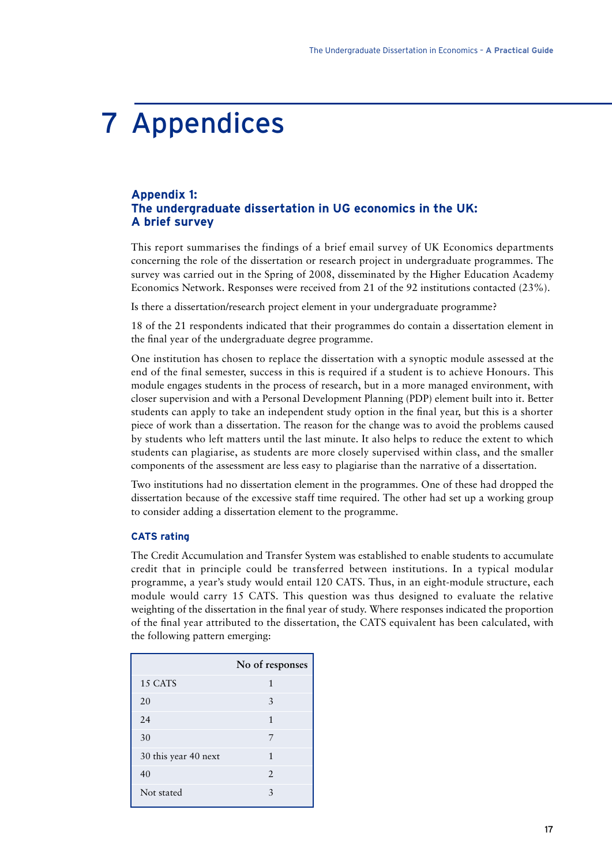## 7 Appendices

## **Appendix 1: The undergraduate dissertation in UG economics in the UK: A brief survey**

This report summarises the findings of a brief email survey of UK Economics departments concerning the role of the dissertation or research project in undergraduate programmes. The survey was carried out in the Spring of 2008, disseminated by the Higher Education Academy Economics Network. Responses were received from 21 of the 92 institutions contacted (23%).

Is there a dissertation/research project element in your undergraduate programme?

18 of the 21 respondents indicated that their programmes do contain a dissertation element in the final year of the undergraduate degree programme.

One institution has chosen to replace the dissertation with a synoptic module assessed at the end of the final semester, success in this is required if a student is to achieve Honours. This module engages students in the process of research, but in a more managed environment, with closer supervision and with a Personal Development Planning (PDP) element built into it. Better students can apply to take an independent study option in the final year, but this is a shorter piece of work than a dissertation. The reason for the change was to avoid the problems caused by students who left matters until the last minute. It also helps to reduce the extent to which students can plagiarise, as students are more closely supervised within class, and the smaller components of the assessment are less easy to plagiarise than the narrative of a dissertation.

Two institutions had no dissertation element in the programmes. One of these had dropped the dissertation because of the excessive staff time required. The other had set up a working group to consider adding a dissertation element to the programme.

#### **CATS rating**

The Credit Accumulation and Transfer System was established to enable students to accumulate credit that in principle could be transferred between institutions. In a typical modular programme, a year's study would entail 120 CATS. Thus, in an eight-module structure, each module would carry 15 CATS. This question was thus designed to evaluate the relative weighting of the dissertation in the final year of study. Where responses indicated the proportion of the final year attributed to the dissertation, the CATS equivalent has been calculated, with the following pattern emerging:

|                      | No of responses       |
|----------------------|-----------------------|
| 15 CATS              | 1                     |
| 20                   | 3                     |
| 24                   | 1                     |
| 30                   | 7                     |
| 30 this year 40 next | 1                     |
| 40                   | $\mathcal{D}_{\cdot}$ |
| Not stated           | 3                     |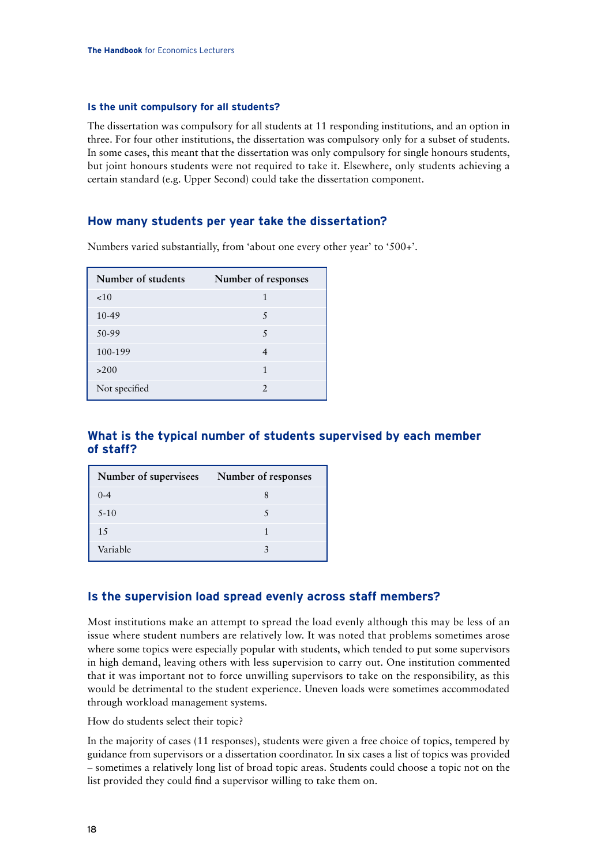#### **Is the unit compulsory for all students?**

The dissertation was compulsory for all students at 11 responding institutions, and an option in three. For four other institutions, the dissertation was compulsory only for a subset of students. In some cases, this meant that the dissertation was only compulsory for single honours students, but joint honours students were not required to take it. Elsewhere, only students achieving a certain standard (e.g. Upper Second) could take the dissertation component.

## **How many students per year take the dissertation?**

Numbers varied substantially, from 'about one every other year' to '500+'.

| Number of students | Number of responses |
|--------------------|---------------------|
| <10                | 1                   |
| 10-49              | 5                   |
| 50-99              | 5                   |
| 100-199            | 4                   |
| >200               | 1                   |
| Not specified      | $\mathcal{L}$       |

## **What is the typical number of students supervised by each member of staff?**

| Number of supervisees | Number of responses |
|-----------------------|---------------------|
| $0 - 4$               |                     |
| $5-10$                |                     |
| 15                    |                     |
| Variable              |                     |

### **Is the supervision load spread evenly across staff members?**

Most institutions make an attempt to spread the load evenly although this may be less of an issue where student numbers are relatively low. It was noted that problems sometimes arose where some topics were especially popular with students, which tended to put some supervisors in high demand, leaving others with less supervision to carry out. One institution commented that it was important not to force unwilling supervisors to take on the responsibility, as this would be detrimental to the student experience. Uneven loads were sometimes accommodated through workload management systems.

How do students select their topic?

In the majority of cases (11 responses), students were given a free choice of topics, tempered by guidance from supervisors or a dissertation coordinator. In six cases a list of topics was provided – sometimes a relatively long list of broad topic areas. Students could choose a topic not on the list provided they could find a supervisor willing to take them on.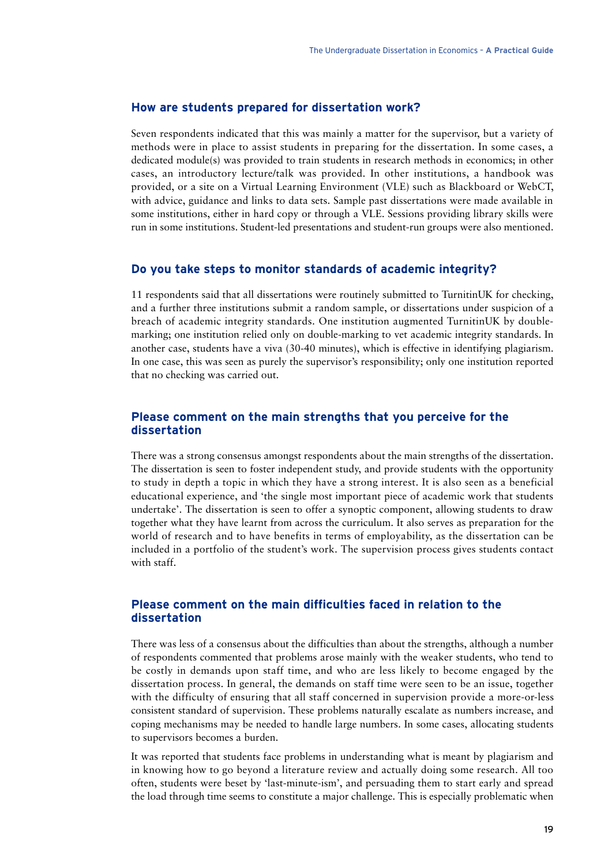#### **How are students prepared for dissertation work?**

Seven respondents indicated that this was mainly a matter for the supervisor, but a variety of methods were in place to assist students in preparing for the dissertation. In some cases, a dedicated module(s) was provided to train students in research methods in economics; in other cases, an introductory lecture/talk was provided. In other institutions, a handbook was provided, or a site on a Virtual Learning Environment (VLE) such as Blackboard or WebCT, with advice, guidance and links to data sets. Sample past dissertations were made available in some institutions, either in hard copy or through a VLE. Sessions providing library skills were run in some institutions. Student-led presentations and student-run groups were also mentioned.

### **Do you take steps to monitor standards of academic integrity?**

11 respondents said that all dissertations were routinely submitted to TurnitinUK for checking, and a further three institutions submit a random sample, or dissertations under suspicion of a breach of academic integrity standards. One institution augmented TurnitinUK by doublemarking; one institution relied only on double-marking to vet academic integrity standards. In another case, students have a viva (30-40 minutes), which is effective in identifying plagiarism. In one case, this was seen as purely the supervisor's responsibility; only one institution reported that no checking was carried out.

### **Please comment on the main strengths that you perceive for the dissertation**

There was a strong consensus amongst respondents about the main strengths of the dissertation. The dissertation is seen to foster independent study, and provide students with the opportunity to study in depth a topic in which they have a strong interest. It is also seen as a beneficial educational experience, and 'the single most important piece of academic work that students undertake'. The dissertation is seen to offer a synoptic component, allowing students to draw together what they have learnt from across the curriculum. It also serves as preparation for the world of research and to have benefits in terms of employability, as the dissertation can be included in a portfolio of the student's work. The supervision process gives students contact with staff.

## **Please comment on the main difficulties faced in relation to the dissertation**

There was less of a consensus about the difficulties than about the strengths, although a number of respondents commented that problems arose mainly with the weaker students, who tend to be costly in demands upon staff time, and who are less likely to become engaged by the dissertation process. In general, the demands on staff time were seen to be an issue, together with the difficulty of ensuring that all staff concerned in supervision provide a more-or-less consistent standard of supervision. These problems naturally escalate as numbers increase, and coping mechanisms may be needed to handle large numbers. In some cases, allocating students to supervisors becomes a burden.

It was reported that students face problems in understanding what is meant by plagiarism and in knowing how to go beyond a literature review and actually doing some research. All too often, students were beset by 'last-minute-ism', and persuading them to start early and spread the load through time seems to constitute a major challenge. This is especially problematic when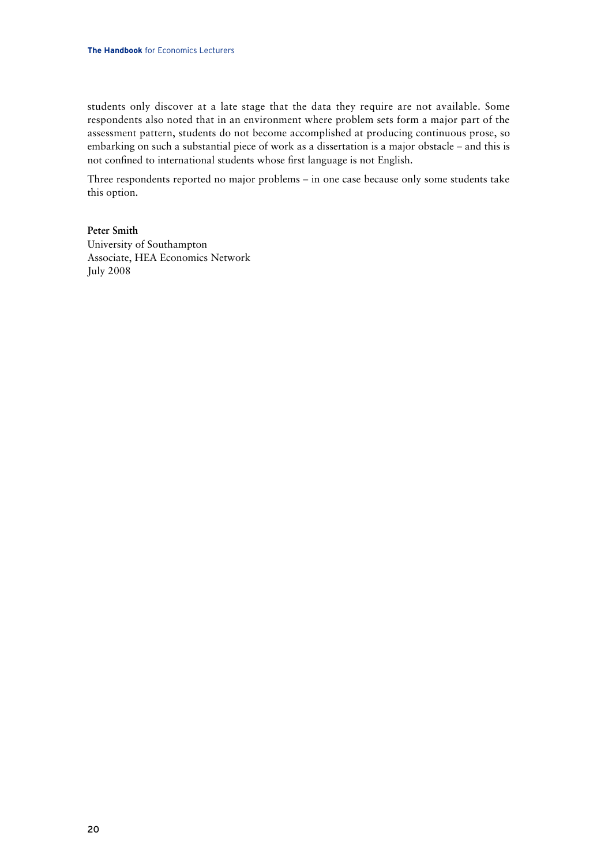students only discover at a late stage that the data they require are not available. Some respondents also noted that in an environment where problem sets form a major part of the assessment pattern, students do not become accomplished at producing continuous prose, so embarking on such a substantial piece of work as a dissertation is a major obstacle – and this is not confined to international students whose first language is not English.

Three respondents reported no major problems – in one case because only some students take this option.

**Peter Smith** University of Southampton Associate, HEA Economics Network

July 2008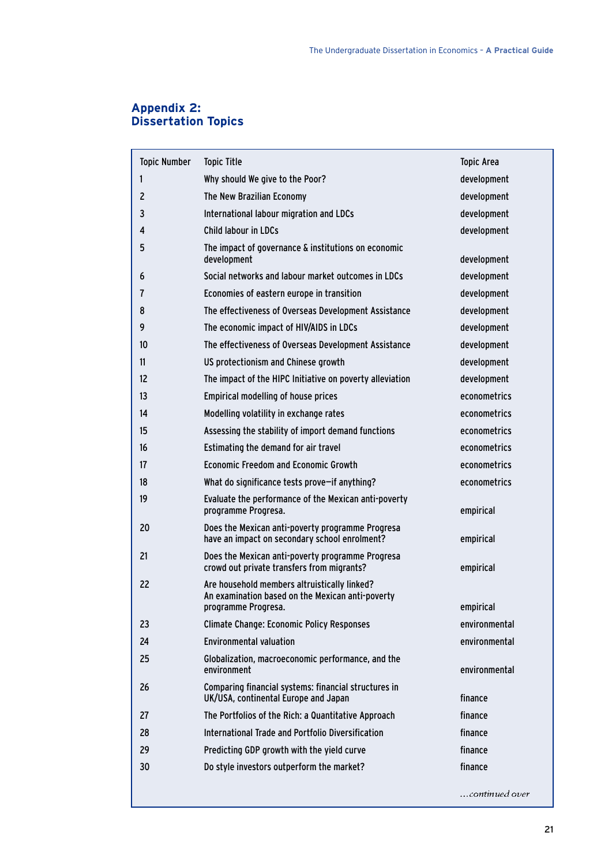## **Appendix 2: Dissertation Topics**

| <b>Topic Number</b> | <b>Topic Title</b>                                                                                | <b>Topic Area</b>              |
|---------------------|---------------------------------------------------------------------------------------------------|--------------------------------|
| 1                   | Why should We give to the Poor?                                                                   | development                    |
| $\mathbf{2}$        | The New Brazilian Economy                                                                         | development                    |
| 3                   | International labour migration and LDCs                                                           | development                    |
| 4                   | <b>Child labour in LDCs</b>                                                                       | development                    |
| 5                   | The impact of governance & institutions on economic<br>development                                | development                    |
| 6                   | Social networks and labour market outcomes in LDCs                                                | development                    |
| 7                   | Economies of eastern europe in transition                                                         | development                    |
| 8                   | The effectiveness of Overseas Development Assistance                                              | development                    |
| 9                   | The economic impact of HIV/AIDS in LDCs                                                           | development                    |
| 10                  | The effectiveness of Overseas Development Assistance                                              | development                    |
| 11                  | US protectionism and Chinese growth                                                               | development                    |
| 12                  | The impact of the HIPC Initiative on poverty alleviation                                          | development                    |
| 13                  | <b>Empirical modelling of house prices</b>                                                        | econometrics                   |
| 14                  | Modelling volatility in exchange rates                                                            | econometrics                   |
| 15                  | Assessing the stability of import demand functions                                                | econometrics                   |
| 16                  | Estimating the demand for air travel                                                              | econometrics                   |
| 17                  | <b>Economic Freedom and Economic Growth</b>                                                       | econometrics                   |
| 18                  | What do significance tests prove-if anything?                                                     | econometrics                   |
| 19                  | Evaluate the performance of the Mexican anti-poverty<br>programme Progresa.                       | empirical                      |
| 20                  | Does the Mexican anti-poverty programme Progresa<br>have an impact on secondary school enrolment? | empirical                      |
| 21                  | Does the Mexican anti-poverty programme Progresa<br>crowd out private transfers from migrants?    | empirical                      |
| 22                  | Are household members altruistically linked?<br>An examination based on the Mexican anti-poverty  |                                |
|                     | programme Progresa.                                                                               | empirical                      |
| 23                  | <b>Climate Change: Economic Policy Responses</b><br><b>Environmental valuation</b>                | environmental<br>environmental |
| 24                  |                                                                                                   |                                |
| 25                  | Globalization, macroeconomic performance, and the<br>environment                                  | environmental                  |
| 26                  | Comparing financial systems: financial structures in<br>UK/USA, continental Europe and Japan      | finance                        |
| 27                  | The Portfolios of the Rich: a Quantitative Approach                                               | finance                        |
| 28                  | International Trade and Portfolio Diversification                                                 | finance                        |
| 29                  | Predicting GDP growth with the yield curve                                                        | finance                        |
| 30                  | Do style investors outperform the market?                                                         | finance                        |
|                     |                                                                                                   | continued over                 |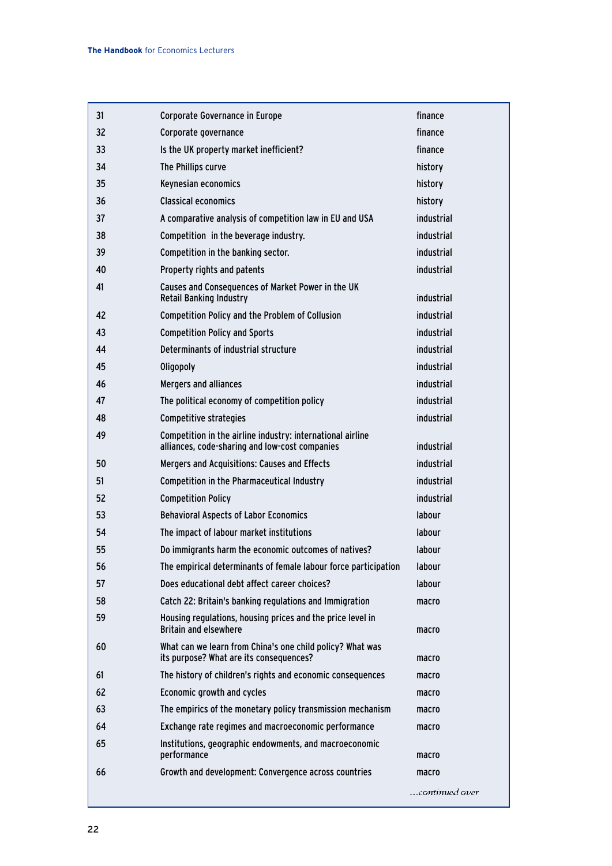| 31 | <b>Corporate Governance in Europe</b>                                                                        | finance        |
|----|--------------------------------------------------------------------------------------------------------------|----------------|
| 32 | Corporate governance                                                                                         | finance        |
| 33 | Is the UK property market inefficient?                                                                       | finance        |
| 34 | The Phillips curve                                                                                           | history        |
| 35 | Keynesian economics                                                                                          | history        |
| 36 | <b>Classical economics</b>                                                                                   | history        |
| 37 | A comparative analysis of competition law in EU and USA                                                      | industrial     |
| 38 | Competition in the beverage industry.                                                                        | industrial     |
| 39 | Competition in the banking sector.                                                                           | industrial     |
| 40 | Property rights and patents                                                                                  | industrial     |
| 41 | Causes and Consequences of Market Power in the UK<br><b>Retail Banking Industry</b>                          | industrial     |
| 42 | <b>Competition Policy and the Problem of Collusion</b>                                                       | industrial     |
| 43 | <b>Competition Policy and Sports</b>                                                                         | industrial     |
| 44 | Determinants of industrial structure                                                                         | industrial     |
| 45 | Oligopoly                                                                                                    | industrial     |
| 46 | <b>Mergers and alliances</b>                                                                                 | industrial     |
| 47 | The political economy of competition policy                                                                  | industrial     |
| 48 | <b>Competitive strategies</b>                                                                                | industrial     |
| 49 | Competition in the airline industry: international airline<br>alliances, code-sharing and low-cost companies | industrial     |
| 50 | Mergers and Acquisitions: Causes and Effects                                                                 | industrial     |
| 51 | <b>Competition in the Pharmaceutical Industry</b>                                                            | industrial     |
| 52 | <b>Competition Policy</b>                                                                                    | industrial     |
| 53 | <b>Behavioral Aspects of Labor Economics</b>                                                                 | labour         |
| 54 | The impact of labour market institutions                                                                     | labour         |
| 55 | Do immigrants harm the economic outcomes of natives?                                                         | labour         |
| 56 | The empirical determinants of female labour force participation                                              | labour         |
| 57 | Does educational debt affect career choices?                                                                 | labour         |
| 58 | Catch 22: Britain's banking regulations and Immigration                                                      | macro          |
| 59 | Housing regulations, housing prices and the price level in<br><b>Britain and elsewhere</b>                   | macro          |
| 60 | What can we learn from China's one child policy? What was<br>its purpose? What are its consequences?         | macro          |
| 61 | The history of children's rights and economic consequences                                                   | macro          |
| 62 | Economic growth and cycles                                                                                   | macro          |
| 63 | The empirics of the monetary policy transmission mechanism                                                   | macro          |
| 64 | Exchange rate regimes and macroeconomic performance                                                          | macro          |
| 65 | Institutions, geographic endowments, and macroeconomic<br>performance                                        | macro          |
| 66 | Growth and development: Convergence across countries                                                         | macro          |
|    |                                                                                                              | continued over |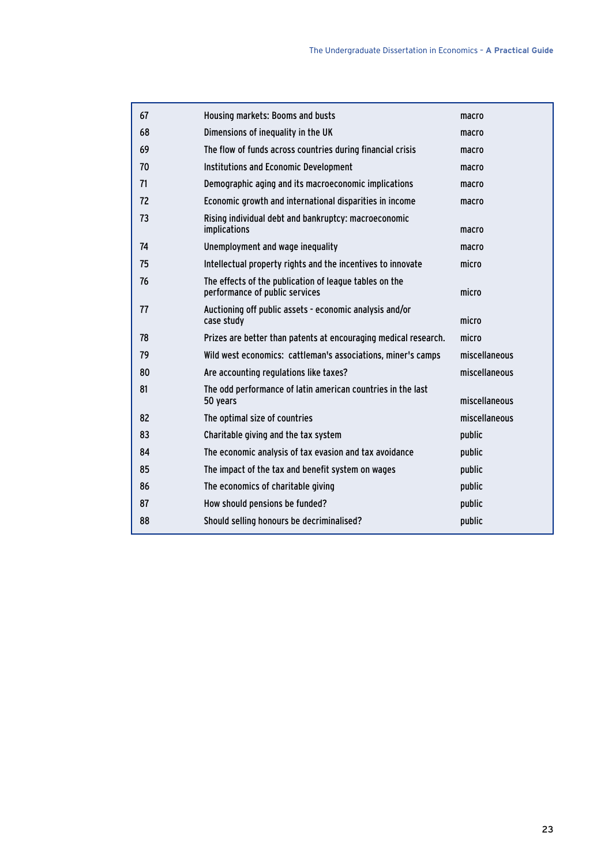| 67 | Housing markets: Booms and busts                                                         | macro         |
|----|------------------------------------------------------------------------------------------|---------------|
| 68 | Dimensions of inequality in the UK                                                       | macro         |
| 69 | The flow of funds across countries during financial crisis                               | macro         |
| 70 | <b>Institutions and Economic Development</b>                                             | macro         |
| 71 | Demographic aging and its macroeconomic implications                                     | macro         |
| 72 | Economic growth and international disparities in income                                  | macro         |
| 73 | Rising individual debt and bankruptcy: macroeconomic<br>implications                     | macro         |
| 74 | Unemployment and wage inequality                                                         | macro         |
| 75 | Intellectual property rights and the incentives to innovate                              | micro         |
| 76 | The effects of the publication of league tables on the<br>performance of public services | micro         |
| 77 | Auctioning off public assets - economic analysis and/or<br>case study                    | micro         |
| 78 | Prizes are better than patents at encouraging medical research.                          | micro         |
| 79 | Wild west economics: cattleman's associations, miner's camps                             | miscellaneous |
| 80 | Are accounting regulations like taxes?                                                   | miscellaneous |
| 81 | The odd performance of latin american countries in the last<br>50 years                  | miscellaneous |
| 82 | The optimal size of countries                                                            | miscellaneous |
| 83 | Charitable giving and the tax system                                                     | public        |
| 84 | The economic analysis of tax evasion and tax avoidance                                   | public        |
| 85 | The impact of the tax and benefit system on wages                                        | public        |
| 86 | The economics of charitable giving                                                       | public        |
| 87 | How should pensions be funded?                                                           | public        |
| 88 | Should selling honours be decriminalised?                                                | public        |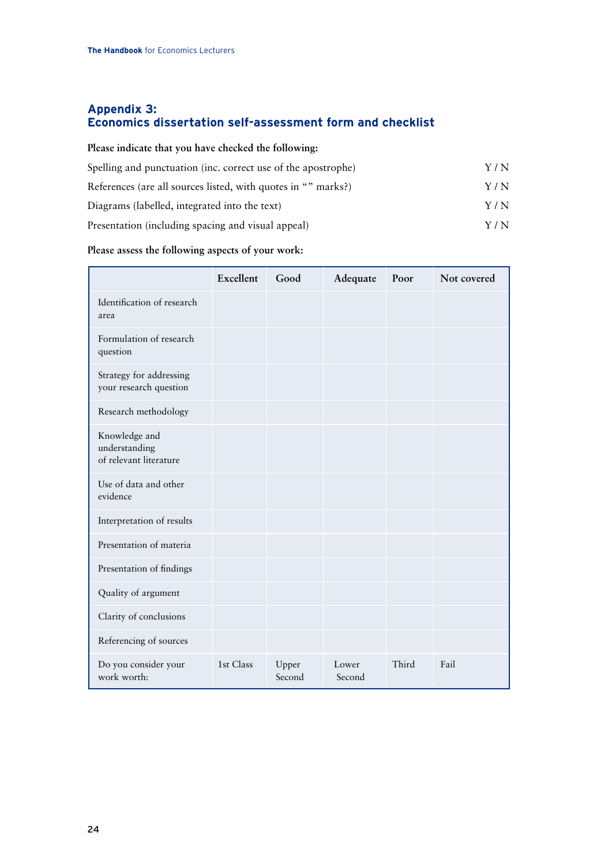## **Appendix 3: Economics dissertation self-assessment form and checklist**

| Please indicate that you have checked the following:          |       |
|---------------------------------------------------------------|-------|
| Spelling and punctuation (inc. correct use of the apostrophe) | Y / N |
| References (are all sources listed, with quotes in "" marks?) | Y / N |
| Diagrams (labelled, integrated into the text)                 | Y / N |
| Presentation (including spacing and visual appeal)            | Y / N |

## **Please assess the following aspects of your work:**

|                                                          | Excellent | Good            | Adequate        | Poor  | Not covered |
|----------------------------------------------------------|-----------|-----------------|-----------------|-------|-------------|
| Identification of research<br>area                       |           |                 |                 |       |             |
| Formulation of research<br>question                      |           |                 |                 |       |             |
| Strategy for addressing<br>your research question        |           |                 |                 |       |             |
| Research methodology                                     |           |                 |                 |       |             |
| Knowledge and<br>understanding<br>of relevant literature |           |                 |                 |       |             |
| Use of data and other<br>evidence                        |           |                 |                 |       |             |
| Interpretation of results                                |           |                 |                 |       |             |
| Presentation of materia                                  |           |                 |                 |       |             |
| Presentation of findings                                 |           |                 |                 |       |             |
| Quality of argument                                      |           |                 |                 |       |             |
| Clarity of conclusions                                   |           |                 |                 |       |             |
| Referencing of sources                                   |           |                 |                 |       |             |
| Do you consider your<br>work worth:                      | 1st Class | Upper<br>Second | Lower<br>Second | Third | Fail        |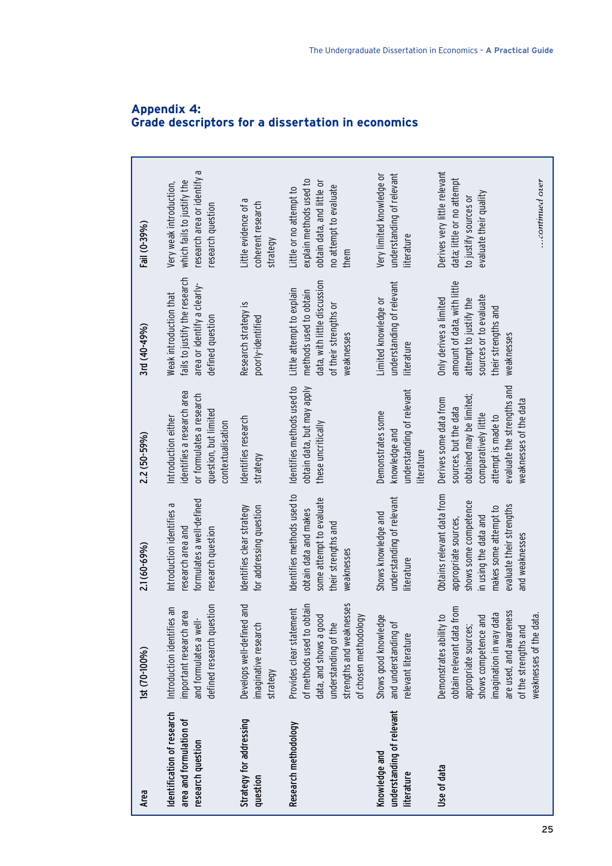| Area                                                                       | 1st (70-100%)                                                                                                                                                                                                | 2.1 (60-69%)                                                                                                                                                                | 2.2 (50-59%)                                                                                                                                                                      | 3rd (40-49%)                                                                                                                                   | Fail (0-39%)                                                                                                                       |
|----------------------------------------------------------------------------|--------------------------------------------------------------------------------------------------------------------------------------------------------------------------------------------------------------|-----------------------------------------------------------------------------------------------------------------------------------------------------------------------------|-----------------------------------------------------------------------------------------------------------------------------------------------------------------------------------|------------------------------------------------------------------------------------------------------------------------------------------------|------------------------------------------------------------------------------------------------------------------------------------|
| Identification of research<br>area and formulation of<br>research question | defined research question<br>Introduction identifies an<br>ര<br>important research are<br>and formulates a well-                                                                                             | formulates a well-defined<br>Introduction identifies a<br>research question<br>research area and                                                                            | identifies a research area<br>or formulates a research<br>question, but limited<br>Introduction either<br>contextualisation                                                       | fails to justify the research<br>area or identify a clearly-<br>Weak introduction that<br>defined question                                     | G<br>research area or identify<br>which fails to justify the<br>Very weak introduction,<br>research question                       |
| Strategy for addressing<br>question                                        | Develops well-defined and<br>imaginative research<br>strategy                                                                                                                                                | Identifies clear strategy<br>for addressing question                                                                                                                        | dentifies research<br>strategy                                                                                                                                                    | Research strategy is<br>poorly-identified                                                                                                      | Little evidence of a<br>coherent research<br>strategy                                                                              |
| Research methodology                                                       | of methods used to obtain<br>strengths and weaknesses<br>Provides clear statement<br>data, and shows a good<br>of chosen methodology<br>understanding of the                                                 | dentifies methods used to<br>some attempt to evaluate<br>obtain data and makes<br>their strengths and<br>weaknesses                                                         | Identifies methods used to<br>obtain data, but may apply<br>these uncritically                                                                                                    | data, with little discussion<br>Little attempt to explain<br>methods used to obtain<br>of their strengths or<br>weaknesses                     | explain methods used to<br>obtain data, and little or<br>no attempt to evaluate<br>Little or no attempt to<br>them                 |
| understanding of relevant<br>Knowledge and<br>literature                   | Shows good knowledge<br>and understanding of<br>relevant literature                                                                                                                                          | understanding of relevant<br>Shows knowledge and<br>literature                                                                                                              | understanding of relevant<br>Demonstrates some<br>knowledge and<br>literature                                                                                                     | understanding of relevant<br>Limited knowledge or<br>literature                                                                                | understanding of relevant<br>Very limited knowledge or<br>literature                                                               |
| Use of data                                                                | obtain relevant data from<br>are used, and awareness<br>imagination in way data<br>Demonstrates ability to<br>shows competence and<br>weaknesses of the data<br>appropriate sources;<br>of the strengths and | Obtains relevant data from<br>shows some competence<br>evaluate their strengths<br>makes some attempt to<br>in using the data and<br>appropriate sources,<br>and weaknesses | evaluate the strengths and<br>obtained may be limited;<br>Derives some data from<br>weaknesses of the data<br>sources, but the data<br>comparatively little<br>attempt is made to | amount of data, with little<br>sources or to evaluate<br>Only derives a limited<br>attempt to justify the<br>their strengths and<br>weaknesses | Derives very little relevant<br>data; little or no attempt<br>$$ continued over<br>evaluate their quality<br>to justify sources or |

## **Appendix 4: Grade descriptors for a dissertation in economics**